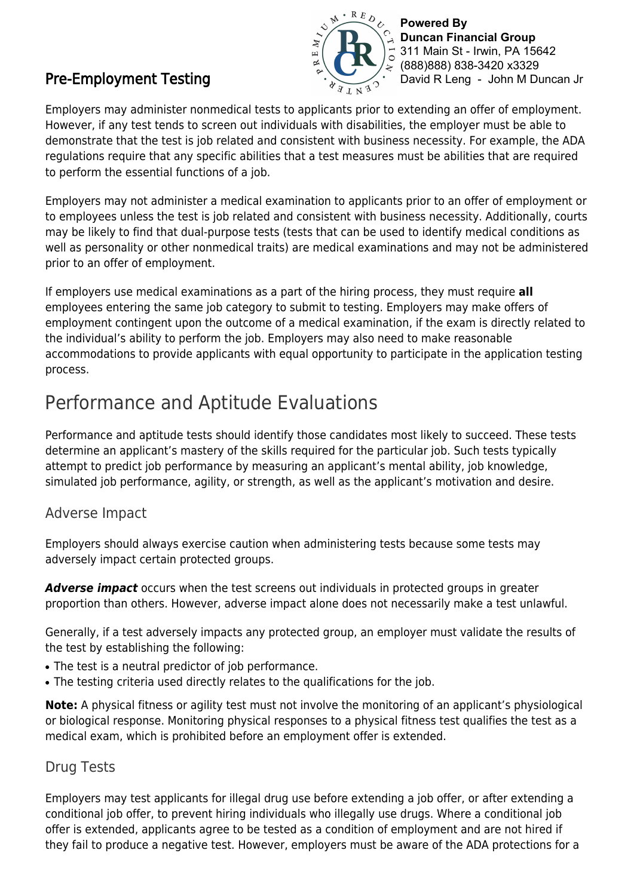## Pre-Employment Testing



**Powered By Duncan Financial Group** 311 Main St - Irwin, PA 15642 (888)888) 838-3420 x3329 David R Leng - John M Duncan Jr

Employers may administer nonmedical tests to applicants prior to extending an offer of employment. However, if any test tends to screen out individuals with disabilities, the employer must be able to demonstrate that the test is job related and consistent with business necessity. For example, the ADA regulations require that any specific abilities that a test measures must be abilities that are required to perform the essential functions of a job.

Employers may not administer a medical examination to applicants prior to an offer of employment or to employees unless the test is job related and consistent with business necessity. Additionally, courts may be likely to find that dual-purpose tests (tests that can be used to identify medical conditions as well as personality or other nonmedical traits) are medical examinations and may not be administered prior to an offer of employment.

If employers use medical examinations as a part of the hiring process, they must require **all**  employees entering the same job category to submit to testing. Employers may make offers of employment contingent upon the outcome of a medical examination, if the exam is directly related to the individual's ability to perform the job. Employers may also need to make reasonable accommodations to provide applicants with equal opportunity to participate in the application testing process.

## Performance and Aptitude Evaluations

Performance and aptitude tests should identify those candidates most likely to succeed. These tests determine an applicant's mastery of the skills required for the particular job. Such tests typically attempt to predict job performance by measuring an applicant's mental ability, job knowledge, simulated job performance, agility, or strength, as well as the applicant's motivation and desire.

### Adverse Impact

Employers should always exercise caution when administering tests because some tests may adversely impact certain protected groups.

*Adverse impact* occurs when the test screens out individuals in protected groups in greater proportion than others. However, adverse impact alone does not necessarily make a test unlawful.

Generally, if a test adversely impacts any protected group, an employer must validate the results of the test by establishing the following:

- The test is a neutral predictor of job performance.
- The testing criteria used directly relates to the qualifications for the job.

**Note:** A physical fitness or agility test must not involve the monitoring of an applicant's physiological or biological response. Monitoring physical responses to a physical fitness test qualifies the test as a medical exam, which is prohibited before an employment offer is extended.

### Drug Tests

Employers may test applicants for illegal drug use before extending a job offer, or after extending a conditional job offer, to prevent hiring individuals who illegally use drugs. Where a conditional job offer is extended, applicants agree to be tested as a condition of employment and are not hired if they fail to produce a negative test. However, employers must be aware of the ADA protections for a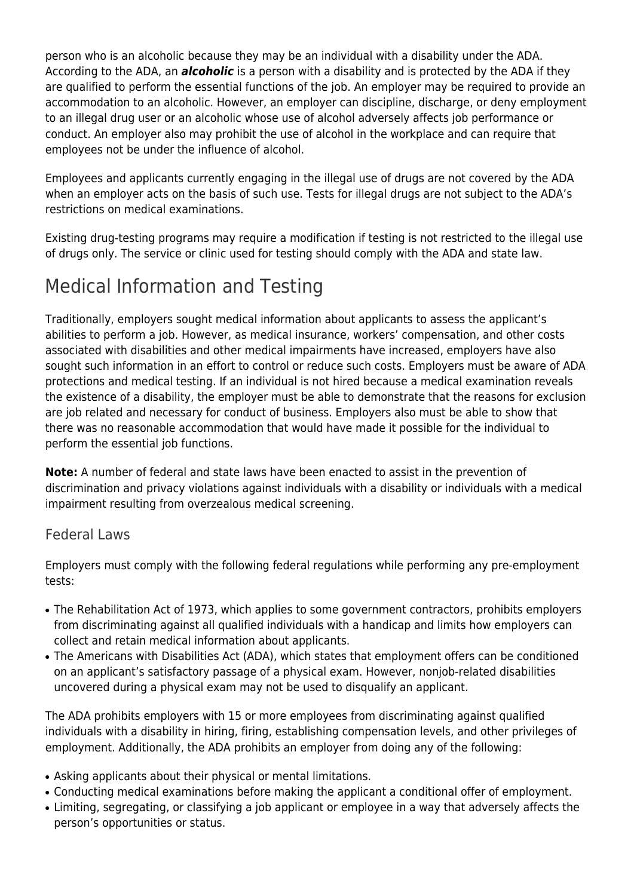person who is an alcoholic because they may be an individual with a disability under the ADA. According to the ADA, an *alcoholic* is a person with a disability and is protected by the ADA if they are qualified to perform the essential functions of the job. An employer may be required to provide an accommodation to an alcoholic. However, an employer can discipline, discharge, or deny employment to an illegal drug user or an alcoholic whose use of alcohol adversely affects job performance or conduct. An employer also may prohibit the use of alcohol in the workplace and can require that employees not be under the influence of alcohol.

Employees and applicants currently engaging in the illegal use of drugs are not covered by the ADA when an employer acts on the basis of such use. Tests for illegal drugs are not subject to the ADA's restrictions on medical examinations.

Existing drug-testing programs may require a modification if testing is not restricted to the illegal use of drugs only. The service or clinic used for testing should comply with the ADA and state law.

## Medical Information and Testing

Traditionally, employers sought medical information about applicants to assess the applicant's abilities to perform a job. However, as medical insurance, workers' compensation, and other costs associated with disabilities and other medical impairments have increased, employers have also sought such information in an effort to control or reduce such costs. Employers must be aware of ADA protections and medical testing. If an individual is not hired because a medical examination reveals the existence of a disability, the employer must be able to demonstrate that the reasons for exclusion are job related and necessary for conduct of business. Employers also must be able to show that there was no reasonable accommodation that would have made it possible for the individual to perform the essential job functions.

**Note:** A number of federal and state laws have been enacted to assist in the prevention of discrimination and privacy violations against individuals with a disability or individuals with a medical impairment resulting from overzealous medical screening.

### Federal Laws

Employers must comply with the following federal regulations while performing any pre-employment tests:

- The Rehabilitation Act of 1973, which applies to some government contractors, prohibits employers from discriminating against all qualified individuals with a handicap and limits how employers can collect and retain medical information about applicants.
- The Americans with Disabilities Act (ADA), which states that employment offers can be conditioned on an applicant's satisfactory passage of a physical exam. However, nonjob-related disabilities uncovered during a physical exam may not be used to disqualify an applicant.

The ADA prohibits employers with 15 or more employees from discriminating against qualified individuals with a disability in hiring, firing, establishing compensation levels, and other privileges of employment. Additionally, the ADA prohibits an employer from doing any of the following:

- Asking applicants about their physical or mental limitations.
- Conducting medical examinations before making the applicant a conditional offer of employment.
- Limiting, segregating, or classifying a job applicant or employee in a way that adversely affects the person's opportunities or status.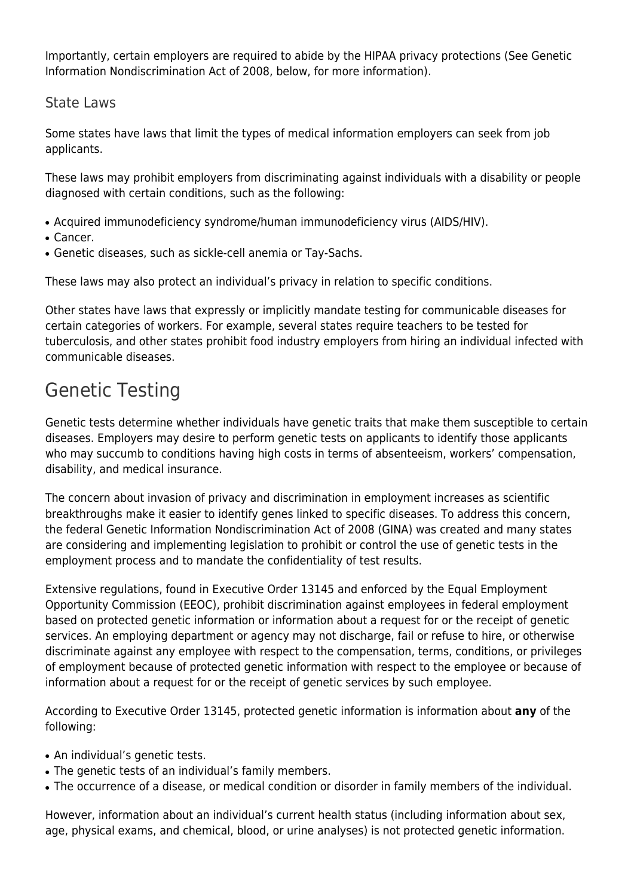Importantly, certain employers are required to abide by the HIPAA privacy protections (See Genetic Information Nondiscrimination Act of 2008, below, for more information).

## State Laws

Some states have laws that limit the types of medical information employers can seek from job applicants.

These laws may prohibit employers from discriminating against individuals with a disability or people diagnosed with certain conditions, such as the following:

- Acquired immunodeficiency syndrome/human immunodeficiency virus (AIDS/HIV).
- Cancer.
- Genetic diseases, such as sickle-cell anemia or Tay-Sachs.

These laws may also protect an individual's privacy in relation to specific conditions.

Other states have laws that expressly or implicitly mandate testing for communicable diseases for certain categories of workers. For example, several states require teachers to be tested for tuberculosis, and other states prohibit food industry employers from hiring an individual infected with communicable diseases.

## Genetic Testing

Genetic tests determine whether individuals have genetic traits that make them susceptible to certain diseases. Employers may desire to perform genetic tests on applicants to identify those applicants who may succumb to conditions having high costs in terms of absenteeism, workers' compensation, disability, and medical insurance.

The concern about invasion of privacy and discrimination in employment increases as scientific breakthroughs make it easier to identify genes linked to specific diseases. To address this concern, the federal Genetic Information Nondiscrimination Act of 2008 (GINA) was created and many states are considering and implementing legislation to prohibit or control the use of genetic tests in the employment process and to mandate the confidentiality of test results.

Extensive regulations, found in Executive Order 13145 and enforced by the Equal Employment Opportunity Commission (EEOC), prohibit discrimination against employees in federal employment based on protected genetic information or information about a request for or the receipt of genetic services. An employing department or agency may not discharge, fail or refuse to hire, or otherwise discriminate against any employee with respect to the compensation, terms, conditions, or privileges of employment because of protected genetic information with respect to the employee or because of information about a request for or the receipt of genetic services by such employee.

According to Executive Order 13145, protected genetic information is information about **any** of the following:

- An individual's genetic tests.
- The genetic tests of an individual's family members.
- The occurrence of a disease, or medical condition or disorder in family members of the individual.

However, information about an individual's current health status (including information about sex, age, physical exams, and chemical, blood, or urine analyses) is not protected genetic information.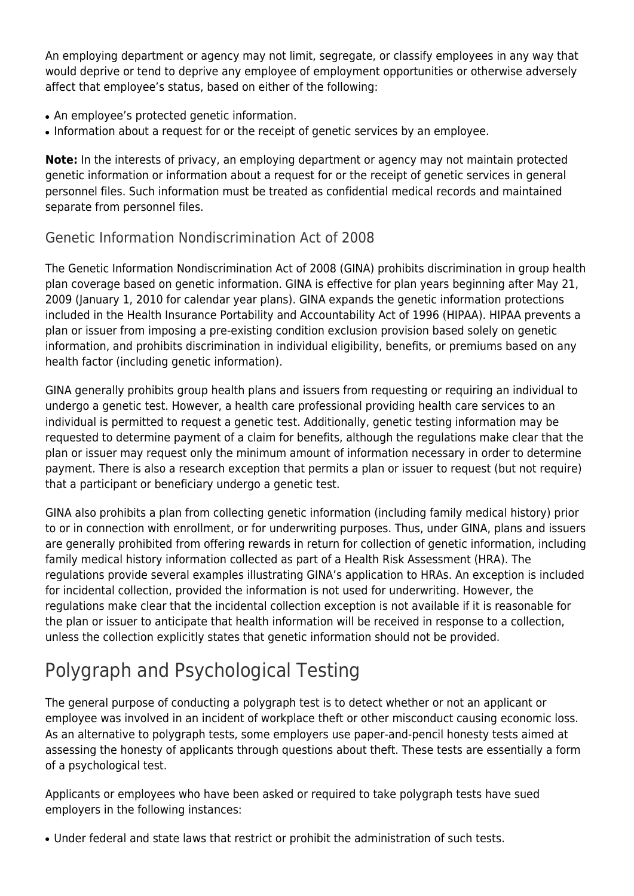An employing department or agency may not limit, segregate, or classify employees in any way that would deprive or tend to deprive any employee of employment opportunities or otherwise adversely affect that employee's status, based on either of the following:

- An employee's protected genetic information.
- Information about a request for or the receipt of genetic services by an employee.

**Note:** In the interests of privacy, an employing department or agency may not maintain protected genetic information or information about a request for or the receipt of genetic services in general personnel files. Such information must be treated as confidential medical records and maintained separate from personnel files.

## Genetic Information Nondiscrimination Act of 2008

The Genetic Information Nondiscrimination Act of 2008 (GINA) prohibits discrimination in group health plan coverage based on genetic information. GINA is effective for plan years beginning after May 21, 2009 (January 1, 2010 for calendar year plans). GINA expands the genetic information protections included in the Health Insurance Portability and Accountability Act of 1996 (HIPAA). HIPAA prevents a plan or issuer from imposing a pre-existing condition exclusion provision based solely on genetic information, and prohibits discrimination in individual eligibility, benefits, or premiums based on any health factor (including genetic information).

GINA generally prohibits group health plans and issuers from requesting or requiring an individual to undergo a genetic test. However, a health care professional providing health care services to an individual is permitted to request a genetic test. Additionally, genetic testing information may be requested to determine payment of a claim for benefits, although the regulations make clear that the plan or issuer may request only the minimum amount of information necessary in order to determine payment. There is also a research exception that permits a plan or issuer to request (but not require) that a participant or beneficiary undergo a genetic test.

GINA also prohibits a plan from collecting genetic information (including family medical history) prior to or in connection with enrollment, or for underwriting purposes. Thus, under GINA, plans and issuers are generally prohibited from offering rewards in return for collection of genetic information, including family medical history information collected as part of a Health Risk Assessment (HRA). The regulations provide several examples illustrating GINA's application to HRAs. An exception is included for incidental collection, provided the information is not used for underwriting. However, the regulations make clear that the incidental collection exception is not available if it is reasonable for the plan or issuer to anticipate that health information will be received in response to a collection, unless the collection explicitly states that genetic information should not be provided.

# Polygraph and Psychological Testing

The general purpose of conducting a polygraph test is to detect whether or not an applicant or employee was involved in an incident of workplace theft or other misconduct causing economic loss. As an alternative to polygraph tests, some employers use paper-and-pencil honesty tests aimed at assessing the honesty of applicants through questions about theft. These tests are essentially a form of a psychological test.

Applicants or employees who have been asked or required to take polygraph tests have sued employers in the following instances:

• Under federal and state laws that restrict or prohibit the administration of such tests.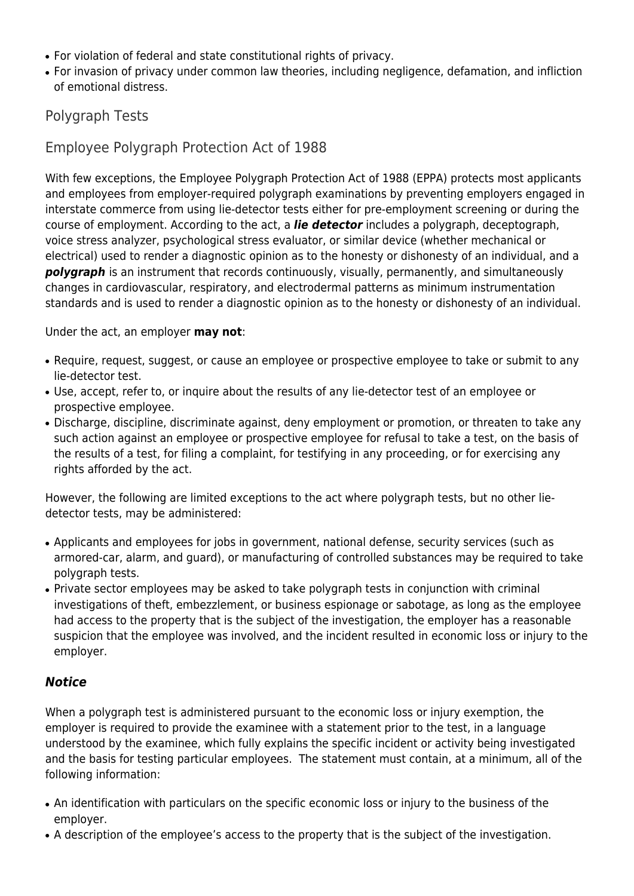- For violation of federal and state constitutional rights of privacy.
- For invasion of privacy under common law theories, including negligence, defamation, and infliction of emotional distress.

### Polygraph Tests

Employee Polygraph Protection Act of 1988

With few exceptions, the Employee Polygraph Protection Act of 1988 (EPPA) protects most applicants and employees from employer-required polygraph examinations by preventing employers engaged in interstate commerce from using lie-detector tests either for pre-employment screening or during the course of employment. According to the act, a *lie detector* includes a polygraph, deceptograph, voice stress analyzer, psychological stress evaluator, or similar device (whether mechanical or electrical) used to render a diagnostic opinion as to the honesty or dishonesty of an individual, and a **polygraph** is an instrument that records continuously, visually, permanently, and simultaneously changes in cardiovascular, respiratory, and electrodermal patterns as minimum instrumentation standards and is used to render a diagnostic opinion as to the honesty or dishonesty of an individual.

Under the act, an employer **may not**:

- Require, request, suggest, or cause an employee or prospective employee to take or submit to any lie-detector test.
- Use, accept, refer to, or inquire about the results of any lie-detector test of an employee or prospective employee.
- Discharge, discipline, discriminate against, deny employment or promotion, or threaten to take any such action against an employee or prospective employee for refusal to take a test, on the basis of the results of a test, for filing a complaint, for testifying in any proceeding, or for exercising any rights afforded by the act.

However, the following are limited exceptions to the act where polygraph tests, but no other liedetector tests, may be administered:

- Applicants and employees for jobs in government, national defense, security services (such as armored-car, alarm, and guard), or manufacturing of controlled substances may be required to take polygraph tests.
- Private sector employees may be asked to take polygraph tests in conjunction with criminal investigations of theft, embezzlement, or business espionage or sabotage, as long as the employee had access to the property that is the subject of the investigation, the employer has a reasonable suspicion that the employee was involved, and the incident resulted in economic loss or injury to the employer.

#### *Notice*

When a polygraph test is administered pursuant to the economic loss or injury exemption, the employer is required to provide the examinee with a statement prior to the test, in a language understood by the examinee, which fully explains the specific incident or activity being investigated and the basis for testing particular employees. The statement must contain, at a minimum, all of the following information:

- An identification with particulars on the specific economic loss or injury to the business of the employer.
- A description of the employee's access to the property that is the subject of the investigation.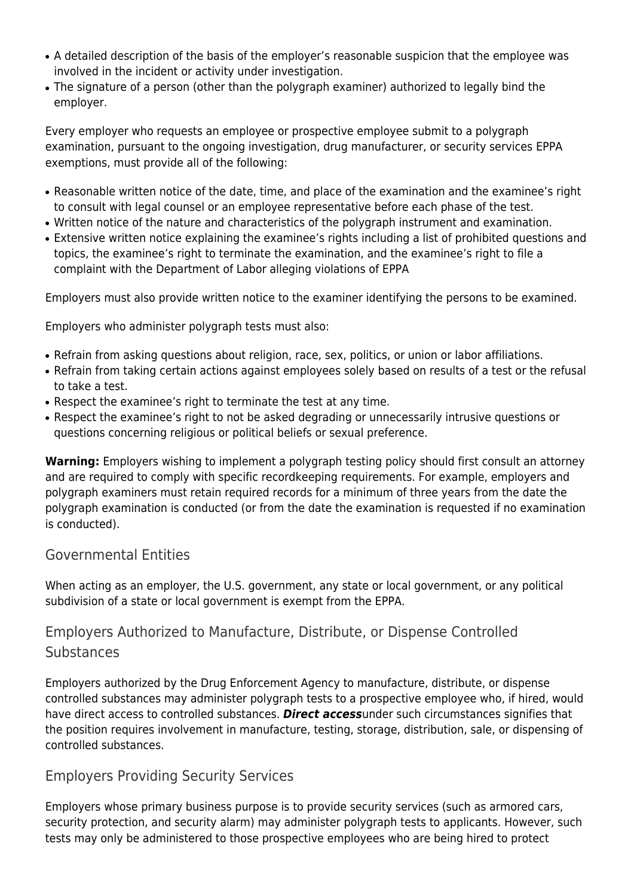- A detailed description of the basis of the employer's reasonable suspicion that the employee was involved in the incident or activity under investigation.
- The signature of a person (other than the polygraph examiner) authorized to legally bind the employer.

Every employer who requests an employee or prospective employee submit to a polygraph examination, pursuant to the ongoing investigation, drug manufacturer, or security services EPPA exemptions, must provide all of the following:

- Reasonable written notice of the date, time, and place of the examination and the examinee's right to consult with legal counsel or an employee representative before each phase of the test.
- Written notice of the nature and characteristics of the polygraph instrument and examination.
- Extensive written notice explaining the examinee's rights including a list of prohibited questions and topics, the examinee's right to terminate the examination, and the examinee's right to file a complaint with the Department of Labor alleging violations of EPPA

Employers must also provide written notice to the examiner identifying the persons to be examined.

Employers who administer polygraph tests must also:

- Refrain from asking questions about religion, race, sex, politics, or union or labor affiliations.
- Refrain from taking certain actions against employees solely based on results of a test or the refusal to take a test.
- Respect the examinee's right to terminate the test at any time.
- Respect the examinee's right to not be asked degrading or unnecessarily intrusive questions or questions concerning religious or political beliefs or sexual preference.

**Warning:** Employers wishing to implement a polygraph testing policy should first consult an attorney and are required to comply with specific recordkeeping requirements. For example, employers and polygraph examiners must retain required records for a minimum of three years from the date the polygraph examination is conducted (or from the date the examination is requested if no examination is conducted).

### Governmental Entities

When acting as an employer, the U.S. government, any state or local government, or any political subdivision of a state or local government is exempt from the EPPA.

## Employers Authorized to Manufacture, Distribute, or Dispense Controlled **Substances**

Employers authorized by the Drug Enforcement Agency to manufacture, distribute, or dispense controlled substances may administer polygraph tests to a prospective employee who, if hired, would have direct access to controlled substances. *Direct access*under such circumstances signifies that the position requires involvement in manufacture, testing, storage, distribution, sale, or dispensing of controlled substances.

### Employers Providing Security Services

Employers whose primary business purpose is to provide security services (such as armored cars, security protection, and security alarm) may administer polygraph tests to applicants. However, such tests may only be administered to those prospective employees who are being hired to protect